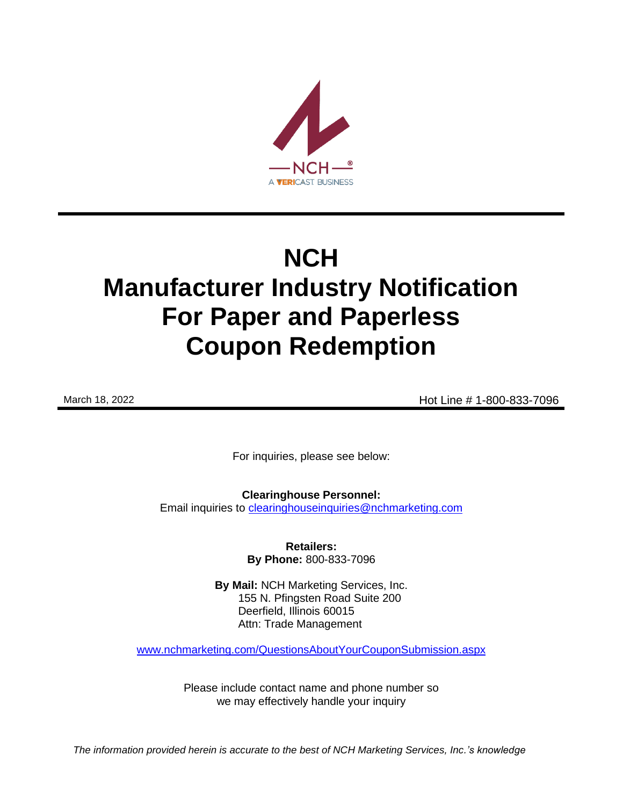

# **NCH Manufacturer Industry Notification For Paper and Paperless Coupon Redemption**

March 18, 2022 **Hot Line # 1-800-833-7096** 

For inquiries, please see below:

**Clearinghouse Personnel:**  Email inquiries to [clearinghouseinquiries@nchmarketing.com](mailto:clearinghouseinquiries@nchmarketing.com)

> **Retailers: By Phone:** 800-833-7096

**By Mail:** NCH Marketing Services, Inc. 155 N. Pfingsten Road Suite 200 Deerfield, Illinois 60015 Attn: Trade Management

[www.nchmarketing.com/QuestionsAboutYourCouponSubmission.aspx](http://www.nchmarketing.com/QuestionsAboutYourCouponSubmission.aspx)

Please include contact name and phone number so we may effectively handle your inquiry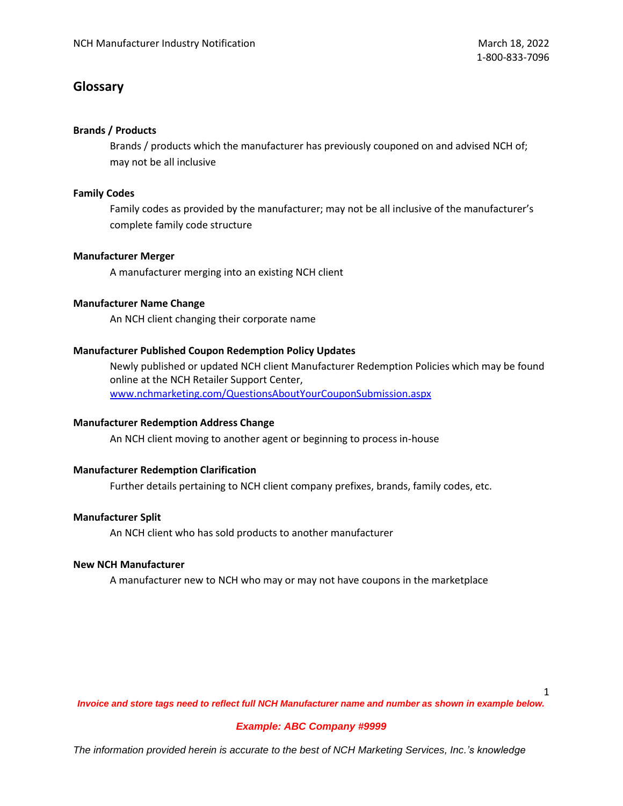# **Glossary**

## **Brands / Products**

Brands / products which the manufacturer has previously couponed on and advised NCH of; may not be all inclusive

## **Family Codes**

Family codes as provided by the manufacturer; may not be all inclusive of the manufacturer's complete family code structure

## **Manufacturer Merger**

A manufacturer merging into an existing NCH client

## **Manufacturer Name Change**

An NCH client changing their corporate name

## **Manufacturer Published Coupon Redemption Policy Updates**

Newly published or updated NCH client Manufacturer Redemption Policies which may be found online at the NCH Retailer Support Center, [www.nchmarketing.com/QuestionsAboutYourCouponSubmission.aspx](http://www.nchmarketing.com/QuestionsAboutYourCouponSubmission.aspx)

## **Manufacturer Redemption Address Change**

An NCH client moving to another agent or beginning to process in-house

## **Manufacturer Redemption Clarification**

Further details pertaining to NCH client company prefixes, brands, family codes, etc.

## **Manufacturer Split**

An NCH client who has sold products to another manufacturer

## **New NCH Manufacturer**

A manufacturer new to NCH who may or may not have coupons in the marketplace

1

*Invoice and store tags need to reflect full NCH Manufacturer name and number as shown in example below.*

## *Example: ABC Company #9999*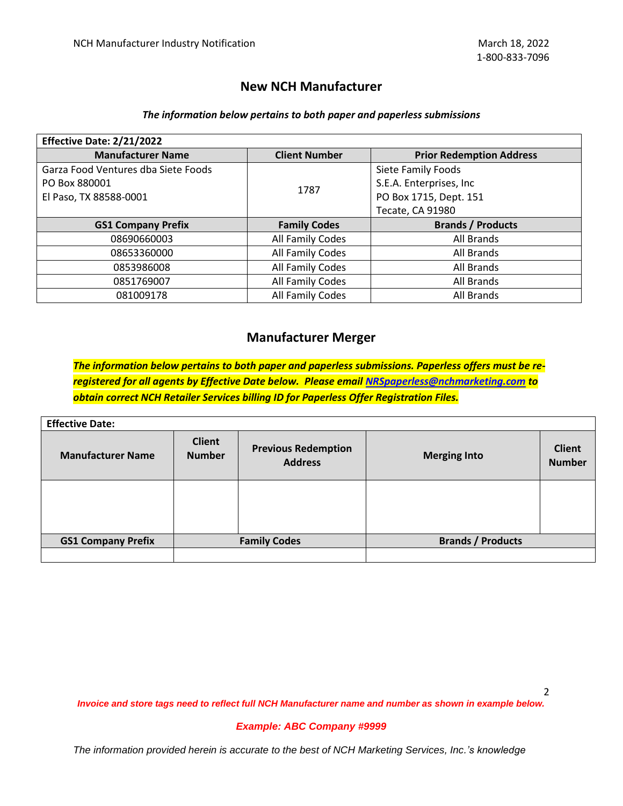## **New NCH Manufacturer**

## *The information below pertains to both paper and paperless submissions*

| Effective Date: 2/21/2022           |                      |                                 |  |
|-------------------------------------|----------------------|---------------------------------|--|
| <b>Manufacturer Name</b>            | <b>Client Number</b> | <b>Prior Redemption Address</b> |  |
| Garza Food Ventures dba Siete Foods |                      | Siete Family Foods              |  |
| PO Box 880001                       | 1787                 | S.E.A. Enterprises, Inc         |  |
| El Paso, TX 88588-0001              |                      | PO Box 1715, Dept. 151          |  |
|                                     |                      | Tecate, CA 91980                |  |
| <b>GS1 Company Prefix</b>           | <b>Family Codes</b>  | <b>Brands / Products</b>        |  |
| 08690660003                         | All Family Codes     | All Brands                      |  |
| 08653360000                         | All Family Codes     | All Brands                      |  |
| 0853986008                          | All Family Codes     | All Brands                      |  |
| 0851769007                          | All Family Codes     | All Brands                      |  |
| 081009178                           | All Family Codes     | All Brands                      |  |

## **Manufacturer Merger**

*The information below pertains to both paper and paperless submissions. Paperless offers must be reregistered for all agents by Effective Date below. Please email [NRSpaperless@nchmarketing.com](mailto:NRSpaperless@nchmarketing.com) to obtain correct NCH Retailer Services billing ID for Paperless Offer Registration Files.*

| <b>Effective Date:</b>    |                                |                                              |                          |                                |
|---------------------------|--------------------------------|----------------------------------------------|--------------------------|--------------------------------|
| <b>Manufacturer Name</b>  | <b>Client</b><br><b>Number</b> | <b>Previous Redemption</b><br><b>Address</b> | <b>Merging Into</b>      | <b>Client</b><br><b>Number</b> |
|                           |                                |                                              |                          |                                |
|                           |                                |                                              |                          |                                |
|                           |                                |                                              |                          |                                |
| <b>GS1 Company Prefix</b> | <b>Family Codes</b>            |                                              | <b>Brands / Products</b> |                                |
|                           |                                |                                              |                          |                                |

2

*Invoice and store tags need to reflect full NCH Manufacturer name and number as shown in example below.*

## *Example: ABC Company #9999*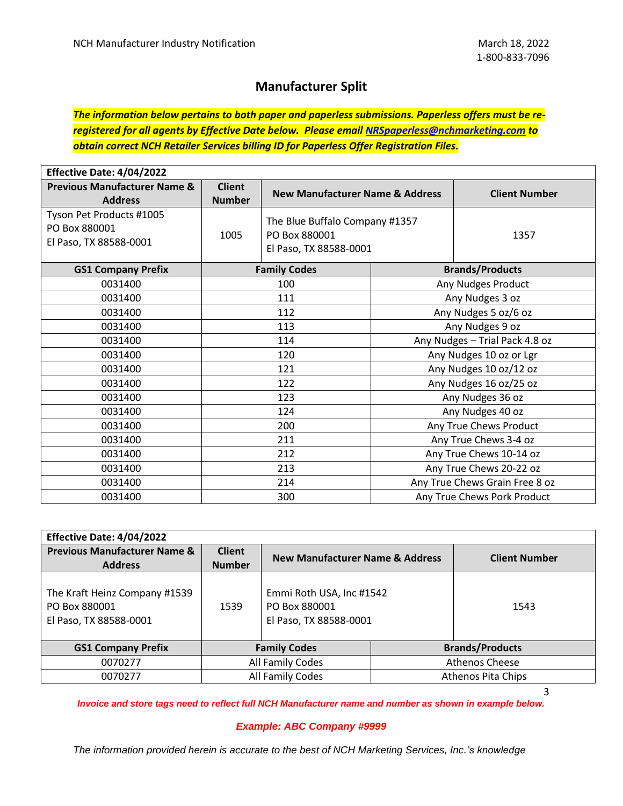# **Manufacturer Split**

*The information below pertains to both paper and paperless submissions. Paperless offers must be reregistered for all agents by Effective Date below. Please email [NRSpaperless@nchmarketing.com](mailto:NRSpaperless@nchmarketing.com) to obtain correct NCH Retailer Services billing ID for Paperless Offer Registration Files.*

| Effective Date: 4/04/2022                                           |                                |                                                                           |  |                                |
|---------------------------------------------------------------------|--------------------------------|---------------------------------------------------------------------------|--|--------------------------------|
| <b>Previous Manufacturer Name &amp;</b><br><b>Address</b>           | <b>Client</b><br><b>Number</b> | <b>New Manufacturer Name &amp; Address</b>                                |  | <b>Client Number</b>           |
| Tyson Pet Products #1005<br>PO Box 880001<br>El Paso, TX 88588-0001 | 1005                           | The Blue Buffalo Company #1357<br>PO Box 880001<br>El Paso, TX 88588-0001 |  | 1357                           |
| <b>GS1 Company Prefix</b>                                           |                                | <b>Family Codes</b>                                                       |  | <b>Brands/Products</b>         |
| 0031400                                                             |                                | 100                                                                       |  | Any Nudges Product             |
| 0031400                                                             |                                | 111                                                                       |  | Any Nudges 3 oz                |
| 0031400                                                             |                                | 112                                                                       |  | Any Nudges 5 oz/6 oz           |
| 0031400                                                             | 113                            |                                                                           |  | Any Nudges 9 oz                |
| 0031400                                                             | 114                            |                                                                           |  | Any Nudges - Trial Pack 4.8 oz |
| 0031400                                                             | 120                            |                                                                           |  | Any Nudges 10 oz or Lgr        |
| 0031400                                                             | 121                            |                                                                           |  | Any Nudges 10 oz/12 oz         |
| 0031400                                                             | 122                            |                                                                           |  | Any Nudges 16 oz/25 oz         |
| 0031400                                                             | 123                            |                                                                           |  | Any Nudges 36 oz               |
| 0031400                                                             | 124                            |                                                                           |  | Any Nudges 40 oz               |
| 0031400                                                             | 200                            |                                                                           |  | Any True Chews Product         |
| 0031400                                                             | 211                            |                                                                           |  | Any True Chews 3-4 oz          |
| 0031400                                                             | 212                            |                                                                           |  | Any True Chews 10-14 oz        |
| 0031400                                                             | 213                            |                                                                           |  | Any True Chews 20-22 oz        |
| 0031400                                                             | 214                            |                                                                           |  | Any True Chews Grain Free 8 oz |
| 0031400                                                             | 300                            |                                                                           |  | Any True Chews Pork Product    |

| Effective Date: 4/04/2022                                                |                                |                                                                     |  |                        |
|--------------------------------------------------------------------------|--------------------------------|---------------------------------------------------------------------|--|------------------------|
| <b>Previous Manufacturer Name &amp;</b><br><b>Address</b>                | <b>Client</b><br><b>Number</b> | <b>New Manufacturer Name &amp; Address</b>                          |  | <b>Client Number</b>   |
| The Kraft Heinz Company #1539<br>PO Box 880001<br>El Paso, TX 88588-0001 | 1539                           | Emmi Roth USA, Inc #1542<br>PO Box 880001<br>El Paso, TX 88588-0001 |  | 1543                   |
| <b>GS1 Company Prefix</b>                                                | <b>Family Codes</b>            |                                                                     |  | <b>Brands/Products</b> |
| 0070277                                                                  | All Family Codes               |                                                                     |  | <b>Athenos Cheese</b>  |
| 0070277                                                                  | All Family Codes               |                                                                     |  | Athenos Pita Chips     |

3

*Invoice and store tags need to reflect full NCH Manufacturer name and number as shown in example below.*

## *Example: ABC Company #9999*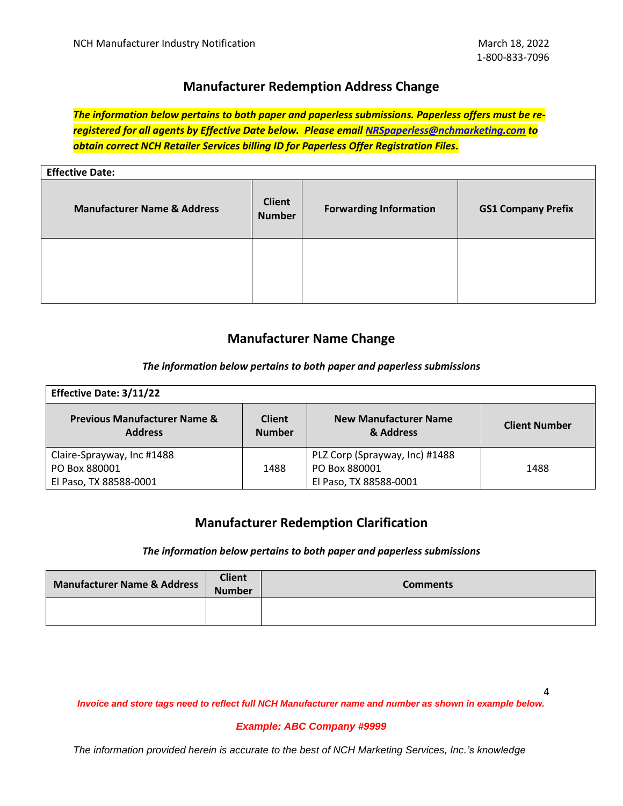# **Manufacturer Redemption Address Change**

*The information below pertains to both paper and paperless submissions. Paperless offers must be reregistered for all agents by Effective Date below. Please email [NRSpaperless@nchmarketing.com](mailto:NRSpaperless@nchmarketing.com) to obtain correct NCH Retailer Services billing ID for Paperless Offer Registration Files.*

| <b>Effective Date:</b>                 |                                |                               |                           |
|----------------------------------------|--------------------------------|-------------------------------|---------------------------|
| <b>Manufacturer Name &amp; Address</b> | <b>Client</b><br><b>Number</b> | <b>Forwarding Information</b> | <b>GS1 Company Prefix</b> |
|                                        |                                |                               |                           |

# **Manufacturer Name Change**

## *The information below pertains to both paper and paperless submissions*

| <b>Effective Date: 3/11/22</b>                            |                                |                                           |                      |
|-----------------------------------------------------------|--------------------------------|-------------------------------------------|----------------------|
| <b>Previous Manufacturer Name &amp;</b><br><b>Address</b> | <b>Client</b><br><b>Number</b> | <b>New Manufacturer Name</b><br>& Address | <b>Client Number</b> |
| Claire-Sprayway, Inc #1488                                |                                | PLZ Corp (Sprayway, Inc) #1488            |                      |
| PO Box 880001                                             | 1488                           | PO Box 880001                             | 1488                 |
| El Paso, TX 88588-0001                                    |                                | El Paso, TX 88588-0001                    |                      |

# **Manufacturer Redemption Clarification**

## *The information below pertains to both paper and paperless submissions*

| <b>Manufacturer Name &amp; Address</b> | <b>Client</b><br><b>Number</b> | <b>Comments</b> |
|----------------------------------------|--------------------------------|-----------------|
|                                        |                                |                 |

*Invoice and store tags need to reflect full NCH Manufacturer name and number as shown in example below.*

## *Example: ABC Company #9999*

*The information provided herein is accurate to the best of NCH Marketing Services, Inc.'s knowledge*

4